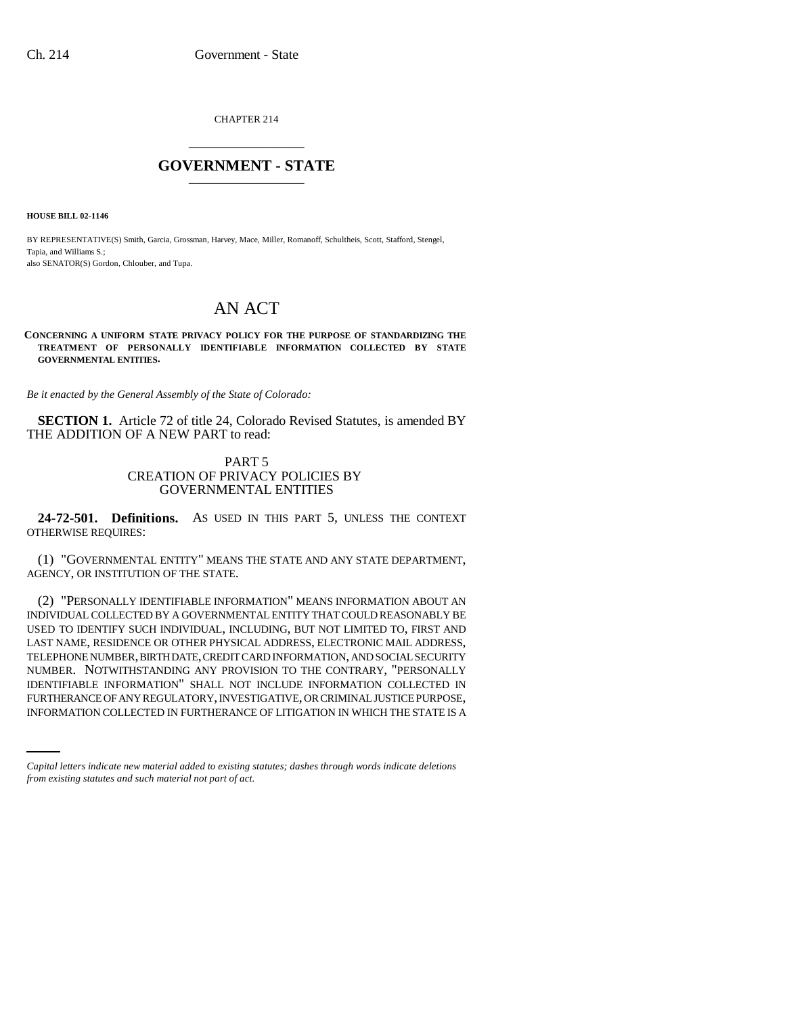CHAPTER 214 \_\_\_\_\_\_\_\_\_\_\_\_\_\_\_

## **GOVERNMENT - STATE** \_\_\_\_\_\_\_\_\_\_\_\_\_\_\_

**HOUSE BILL 02-1146**

BY REPRESENTATIVE(S) Smith, Garcia, Grossman, Harvey, Mace, Miller, Romanoff, Schultheis, Scott, Stafford, Stengel, Tapia, and Williams S.; also SENATOR(S) Gordon, Chlouber, and Tupa.

## AN ACT

## **CONCERNING A UNIFORM STATE PRIVACY POLICY FOR THE PURPOSE OF STANDARDIZING THE TREATMENT OF PERSONALLY IDENTIFIABLE INFORMATION COLLECTED BY STATE GOVERNMENTAL ENTITIES.**

*Be it enacted by the General Assembly of the State of Colorado:*

**SECTION 1.** Article 72 of title 24, Colorado Revised Statutes, is amended BY THE ADDITION OF A NEW PART to read:

## PART 5 CREATION OF PRIVACY POLICIES BY GOVERNMENTAL ENTITIES

**24-72-501. Definitions.** AS USED IN THIS PART 5, UNLESS THE CONTEXT OTHERWISE REQUIRES:

(1) "GOVERNMENTAL ENTITY" MEANS THE STATE AND ANY STATE DEPARTMENT, AGENCY, OR INSTITUTION OF THE STATE.

IDENTIFIABLE INFORMATION" SHALL NOT INCLUDE INFORMATION COLLECTED IN (2) "PERSONALLY IDENTIFIABLE INFORMATION" MEANS INFORMATION ABOUT AN INDIVIDUAL COLLECTED BY A GOVERNMENTAL ENTITY THAT COULD REASONABLY BE USED TO IDENTIFY SUCH INDIVIDUAL, INCLUDING, BUT NOT LIMITED TO, FIRST AND LAST NAME, RESIDENCE OR OTHER PHYSICAL ADDRESS, ELECTRONIC MAIL ADDRESS, TELEPHONE NUMBER, BIRTH DATE, CREDIT CARD INFORMATION, AND SOCIAL SECURITY NUMBER. NOTWITHSTANDING ANY PROVISION TO THE CONTRARY, "PERSONALLY FURTHERANCE OF ANY REGULATORY, INVESTIGATIVE, OR CRIMINAL JUSTICE PURPOSE, INFORMATION COLLECTED IN FURTHERANCE OF LITIGATION IN WHICH THE STATE IS A

*Capital letters indicate new material added to existing statutes; dashes through words indicate deletions from existing statutes and such material not part of act.*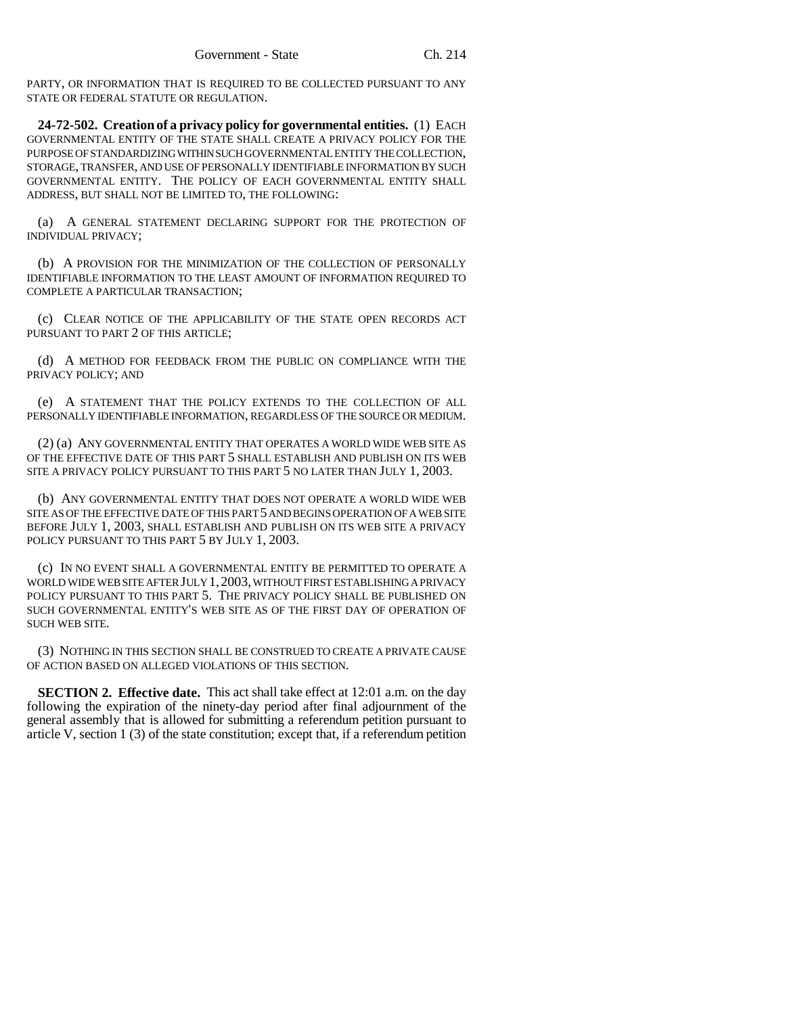PARTY, OR INFORMATION THAT IS REQUIRED TO BE COLLECTED PURSUANT TO ANY STATE OR FEDERAL STATUTE OR REGULATION.

**24-72-502. Creation of a privacy policy for governmental entities.** (1) EACH GOVERNMENTAL ENTITY OF THE STATE SHALL CREATE A PRIVACY POLICY FOR THE PURPOSE OF STANDARDIZING WITHIN SUCH GOVERNMENTAL ENTITY THE COLLECTION, STORAGE, TRANSFER, AND USE OF PERSONALLY IDENTIFIABLE INFORMATION BY SUCH GOVERNMENTAL ENTITY. THE POLICY OF EACH GOVERNMENTAL ENTITY SHALL ADDRESS, BUT SHALL NOT BE LIMITED TO, THE FOLLOWING:

(a) A GENERAL STATEMENT DECLARING SUPPORT FOR THE PROTECTION OF INDIVIDUAL PRIVACY;

(b) A PROVISION FOR THE MINIMIZATION OF THE COLLECTION OF PERSONALLY IDENTIFIABLE INFORMATION TO THE LEAST AMOUNT OF INFORMATION REQUIRED TO COMPLETE A PARTICULAR TRANSACTION;

(c) CLEAR NOTICE OF THE APPLICABILITY OF THE STATE OPEN RECORDS ACT PURSUANT TO PART 2 OF THIS ARTICLE;

(d) A METHOD FOR FEEDBACK FROM THE PUBLIC ON COMPLIANCE WITH THE PRIVACY POLICY; AND

(e) A STATEMENT THAT THE POLICY EXTENDS TO THE COLLECTION OF ALL PERSONALLY IDENTIFIABLE INFORMATION, REGARDLESS OF THE SOURCE OR MEDIUM.

(2) (a) ANY GOVERNMENTAL ENTITY THAT OPERATES A WORLD WIDE WEB SITE AS OF THE EFFECTIVE DATE OF THIS PART 5 SHALL ESTABLISH AND PUBLISH ON ITS WEB SITE A PRIVACY POLICY PURSUANT TO THIS PART 5 NO LATER THAN JULY 1, 2003.

(b) ANY GOVERNMENTAL ENTITY THAT DOES NOT OPERATE A WORLD WIDE WEB SITE AS OF THE EFFECTIVE DATE OF THIS PART 5 AND BEGINS OPERATION OF A WEB SITE BEFORE JULY 1, 2003, SHALL ESTABLISH AND PUBLISH ON ITS WEB SITE A PRIVACY POLICY PURSUANT TO THIS PART 5 BY JULY 1, 2003.

(c) IN NO EVENT SHALL A GOVERNMENTAL ENTITY BE PERMITTED TO OPERATE A WORLD WIDE WEB SITE AFTER JULY 1,2003, WITHOUT FIRST ESTABLISHING A PRIVACY POLICY PURSUANT TO THIS PART 5. THE PRIVACY POLICY SHALL BE PUBLISHED ON SUCH GOVERNMENTAL ENTITY'S WEB SITE AS OF THE FIRST DAY OF OPERATION OF SUCH WEB SITE.

(3) NOTHING IN THIS SECTION SHALL BE CONSTRUED TO CREATE A PRIVATE CAUSE OF ACTION BASED ON ALLEGED VIOLATIONS OF THIS SECTION.

**SECTION 2. Effective date.** This act shall take effect at 12:01 a.m. on the day following the expiration of the ninety-day period after final adjournment of the general assembly that is allowed for submitting a referendum petition pursuant to article V, section 1 (3) of the state constitution; except that, if a referendum petition